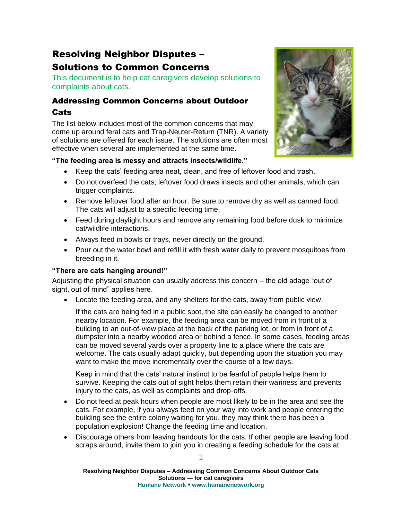# Resolving Neighbor Disputes – Solutions to Common Concerns

This document is to help cat caregivers develop solutions to complaints about cats.

## Addressing Common Concerns about Outdoor Cats

The list below includes most of the common concerns that may come up around feral cats and Trap-Neuter-Return (TNR). A variety of solutions are offered for each issue. The solutions are often most effective when several are implemented at the same time.

## **"The feeding area is messy and attracts insects/wildlife."**

- Keep the cats' feeding area neat, clean, and free of leftover food and trash.
- Do not overfeed the cats; leftover food draws insects and other animals, which can trigger complaints.
- Remove leftover food after an hour. Be sure to remove dry as well as canned food. The cats will adjust to a specific feeding time.
- Feed during daylight hours and remove any remaining food before dusk to minimize cat/wildlife interactions.
- Always feed in bowls or trays, never directly on the ground.
- Pour out the water bowl and refill it with fresh water daily to prevent mosquitoes from breeding in it.

## **"There are cats hanging around!"**

Adjusting the physical situation can usually address this concern – the old adage "out of sight, out of mind" applies here.

• Locate the feeding area, and any shelters for the cats, away from public view.

If the cats are being fed in a public spot, the site can easily be changed to another nearby location. For example, the feeding area can be moved from in front of a building to an out-of-view place at the back of the parking lot, or from in front of a dumpster into a nearby wooded area or behind a fence. In some cases, feeding areas can be moved several yards over a property line to a place where the cats are welcome. The cats usually adapt quickly, but depending upon the situation you may want to make the move incrementally over the course of a few days.

Keep in mind that the cats' natural instinct to be fearful of people helps them to survive. Keeping the cats out of sight helps them retain their wariness and prevents injury to the cats, as well as complaints and drop-offs.

- Do not feed at peak hours when people are most likely to be in the area and see the cats. For example, if you always feed on your way into work and people entering the building see the entire colony waiting for you, they may think there has been a population explosion! Change the feeding time and location.
- Discourage others from leaving handouts for the cats. If other people are leaving food scraps around, invite them to join you in creating a feeding schedule for the cats at

**Resolving Neighbor Disputes – Addressing Common Concerns About Outdoor Cats Solutions — for cat caregivers Humane Network www.humanenetwork.org**

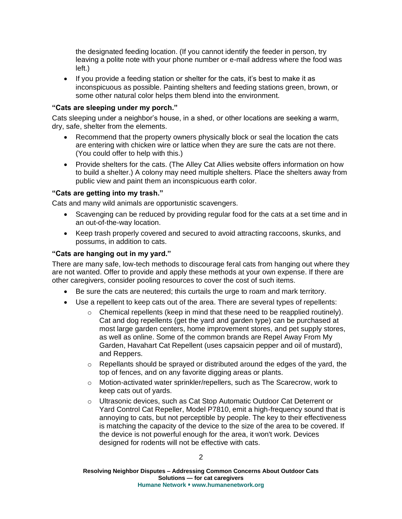the designated feeding location. (If you cannot identify the feeder in person, try leaving a polite note with your phone number or e-mail address where the food was left.)

• If you provide a feeding station or shelter for the cats, it's best to make it as inconspicuous as possible. Painting shelters and feeding stations green, brown, or some other natural color helps them blend into the environment.

#### **"Cats are sleeping under my porch."**

Cats sleeping under a neighbor's house, in a shed, or other locations are seeking a warm, dry, safe, shelter from the elements.

- Recommend that the property owners physically block or seal the location the cats are entering with chicken wire or lattice when they are sure the cats are not there. (You could offer to help with this.)
- Provide shelters for the cats. (The Alley Cat Allies website offers information on how to build a shelter.) A colony may need multiple shelters. Place the shelters away from public view and paint them an inconspicuous earth color.

#### **"Cats are getting into my trash."**

Cats and many wild animals are opportunistic scavengers.

- Scavenging can be reduced by providing regular food for the cats at a set time and in an out-of-the-way location.
- Keep trash properly covered and secured to avoid attracting raccoons, skunks, and possums, in addition to cats.

#### **"Cats are hanging out in my yard."**

There are many safe, low-tech methods to discourage feral cats from hanging out where they are not wanted. Offer to provide and apply these methods at your own expense. If there are other caregivers, consider pooling resources to cover the cost of such items.

- Be sure the cats are neutered; this curtails the urge to roam and mark territory.
- Use a repellent to keep cats out of the area. There are several types of repellents:
	- $\circ$  Chemical repellents (keep in mind that these need to be reapplied routinely). Cat and dog repellents (get the yard and garden type) can be purchased at most large garden centers, home improvement stores, and pet supply stores, as well as online. Some of the common brands are Repel Away From My Garden, Havahart Cat Repellent (uses capsaicin pepper and oil of mustard), and Reppers.
	- o Repellants should be sprayed or distributed around the edges of the yard, the top of fences, and on any favorite digging areas or plants.
	- $\circ$  Motion-activated water sprinkler/repellers, such as The Scarecrow, work to keep cats out of yards.
	- o Ultrasonic devices, such as Cat Stop Automatic Outdoor Cat Deterrent or Yard Control Cat Repeller, Model P7810, emit a high-frequency sound that is annoying to cats, but not perceptible by people. The key to their effectiveness is matching the capacity of the device to the size of the area to be covered. If the device is not powerful enough for the area, it won't work. Devices designed for rodents will not be effective with cats.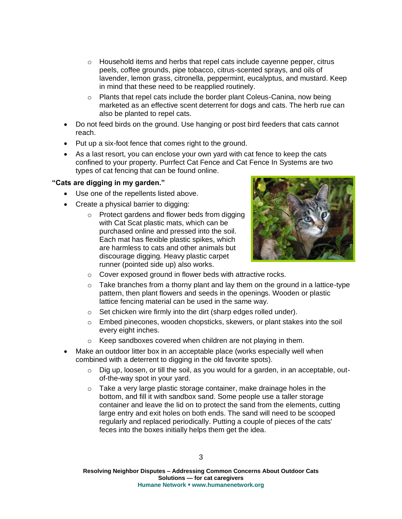- $\circ$  Household items and herbs that repel cats include cayenne pepper, citrus peels, coffee grounds, pipe tobacco, citrus-scented sprays, and oils of lavender, lemon grass, citronella, peppermint, eucalyptus, and mustard. Keep in mind that these need to be reapplied routinely.
- o Plants that repel cats include the border plant Coleus-Canina, now being marketed as an effective scent deterrent for dogs and cats. The herb rue can also be planted to repel cats.
- Do not feed birds on the ground. Use hanging or post bird feeders that cats cannot reach.
- Put up a six-foot fence that comes right to the ground.
- As a last resort, you can enclose your own yard with cat fence to keep the cats confined to your property. Purrfect Cat Fence and Cat Fence In Systems are two types of cat fencing that can be found online.

### **"Cats are digging in my garden."**

- Use one of the repellents listed above.
- Create a physical barrier to digging:
	- $\circ$  Protect gardens and flower beds from digging with Cat Scat plastic mats, which can be purchased online and pressed into the soil. Each mat has flexible plastic spikes, which are harmless to cats and other animals but discourage digging. Heavy plastic carpet runner (pointed side up) also works.



- o Cover exposed ground in flower beds with attractive rocks.
- $\circ$  Take branches from a thorny plant and lay them on the ground in a lattice-type pattern, then plant flowers and seeds in the openings. Wooden or plastic lattice fencing material can be used in the same way.
- o Set chicken wire firmly into the dirt (sharp edges rolled under).
- $\circ$  Embed pinecones, wooden chopsticks, skewers, or plant stakes into the soil every eight inches.
- o Keep sandboxes covered when children are not playing in them.
- Make an outdoor litter box in an acceptable place (works especially well when combined with a deterrent to digging in the old favorite spots).
	- $\circ$  Dig up, loosen, or till the soil, as you would for a garden, in an acceptable, outof-the-way spot in your yard.
	- o Take a very large plastic storage container, make drainage holes in the bottom, and fill it with sandbox sand. Some people use a taller storage container and leave the lid on to protect the sand from the elements, cutting large entry and exit holes on both ends. The sand will need to be scooped regularly and replaced periodically. Putting a couple of pieces of the cats' feces into the boxes initially helps them get the idea.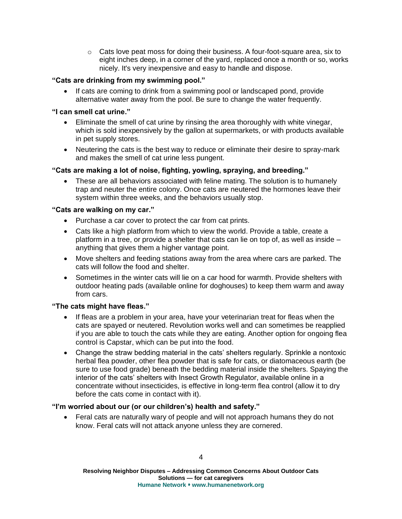$\circ$  Cats love peat moss for doing their business. A four-foot-square area, six to eight inches deep, in a corner of the yard, replaced once a month or so, works nicely. It's very inexpensive and easy to handle and dispose.

### **"Cats are drinking from my swimming pool."**

• If cats are coming to drink from a swimming pool or landscaped pond, provide alternative water away from the pool. Be sure to change the water frequently.

### **"I can smell cat urine."**

- Eliminate the smell of cat urine by rinsing the area thoroughly with white vinegar, which is sold inexpensively by the gallon at supermarkets, or with products available in pet supply stores.
- Neutering the cats is the best way to reduce or eliminate their desire to spray-mark and makes the smell of cat urine less pungent.

### **"Cats are making a lot of noise, fighting, yowling, spraying, and breeding."**

• These are all behaviors associated with feline mating. The solution is to humanely trap and neuter the entire colony. Once cats are neutered the hormones leave their system within three weeks, and the behaviors usually stop.

#### **"Cats are walking on my car."**

- Purchase a car cover to protect the car from cat prints.
- Cats like a high platform from which to view the world. Provide a table, create a platform in a tree, or provide a shelter that cats can lie on top of, as well as inside – anything that gives them a higher vantage point.
- Move shelters and feeding stations away from the area where cars are parked. The cats will follow the food and shelter.
- Sometimes in the winter cats will lie on a car hood for warmth. Provide shelters with outdoor heating pads (available online for doghouses) to keep them warm and away from cars.

#### **"The cats might have fleas."**

- If fleas are a problem in your area, have your veterinarian treat for fleas when the cats are spayed or neutered. Revolution works well and can sometimes be reapplied if you are able to touch the cats while they are eating. Another option for ongoing flea control is Capstar, which can be put into the food.
- Change the straw bedding material in the cats' shelters regularly. Sprinkle a nontoxic herbal flea powder, other flea powder that is safe for cats, or diatomaceous earth (be sure to use food grade) beneath the bedding material inside the shelters. Spaying the interior of the cats' shelters with Insect Growth Regulator, available online in a concentrate without insecticides, is effective in long-term flea control (allow it to dry before the cats come in contact with it).

#### **"I'm worried about our (or our children's) health and safety."**

• Feral cats are naturally wary of people and will not approach humans they do not know. Feral cats will not attack anyone unless they are cornered.